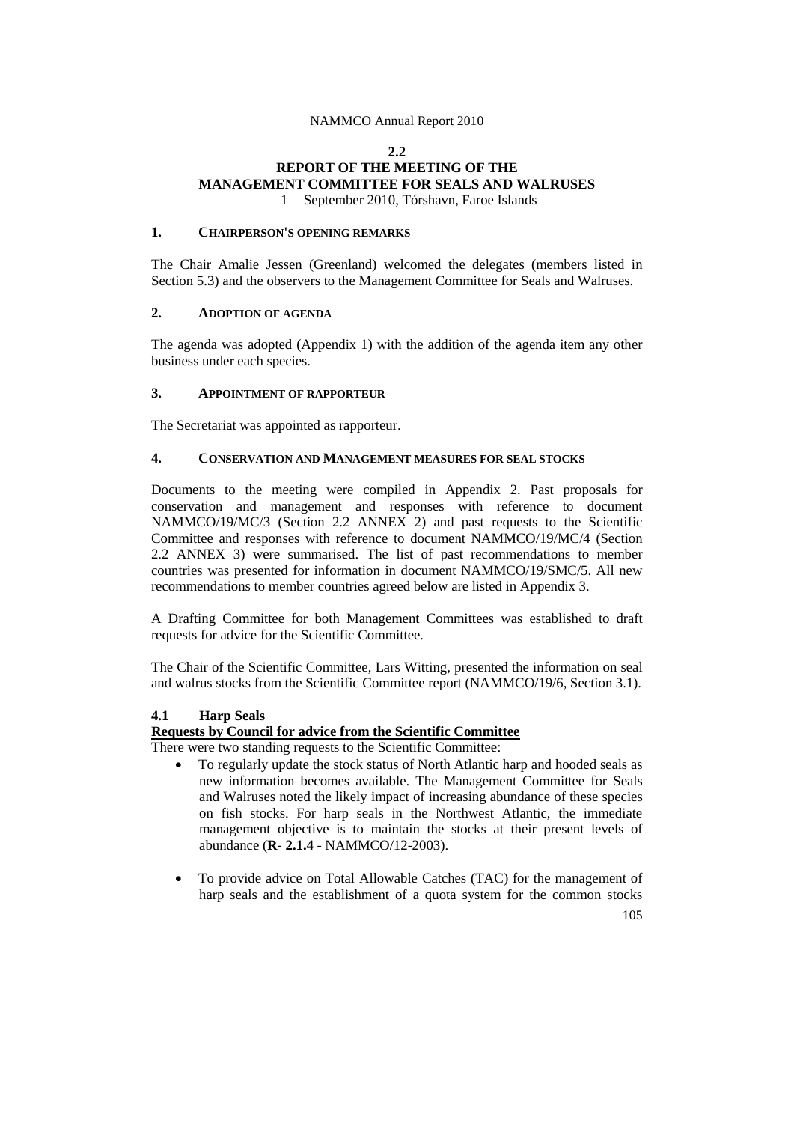#### **2.2**

# **REPORT OF THE MEETING OF THE MANAGEMENT COMMITTEE FOR SEALS AND WALRUSES** 1 September 2010, Tórshavn, Faroe Islands

# **1. CHAIRPERSON'S OPENING REMARKS**

The Chair Amalie Jessen (Greenland) welcomed the delegates (members listed in Section 5.3) and the observers to the Management Committee for Seals and Walruses.

# **2. ADOPTION OF AGENDA**

The agenda was adopted (Appendix 1) with the addition of the agenda item any other business under each species.

# **3. APPOINTMENT OF RAPPORTEUR**

The Secretariat was appointed as rapporteur.

## **4. CONSERVATION AND MANAGEMENT MEASURES FOR SEAL STOCKS**

Documents to the meeting were compiled in Appendix 2. Past proposals for conservation and management and responses with reference to document NAMMCO/19/MC/3 (Section 2.2 ANNEX 2) and past requests to the Scientific Committee and responses with reference to document NAMMCO/19/MC/4 (Section 2.2 ANNEX 3) were summarised. The list of past recommendations to member countries was presented for information in document NAMMCO/19/SMC/5. All new recommendations to member countries agreed below are listed in Appendix 3.

A Drafting Committee for both Management Committees was established to draft requests for advice for the Scientific Committee.

The Chair of the Scientific Committee, Lars Witting, presented the information on seal and walrus stocks from the Scientific Committee report (NAMMCO/19/6, Section 3.1).

# **4.1 Harp Seals**

# **Requests by Council for advice from the Scientific Committee**

There were two standing requests to the Scientific Committee:

- To regularly update the stock status of North Atlantic harp and hooded seals as new information becomes available. The Management Committee for Seals and Walruses noted the likely impact of increasing abundance of these species on fish stocks. For harp seals in the Northwest Atlantic, the immediate management objective is to maintain the stocks at their present levels of abundance (**R- 2.1.4** - NAMMCO/12-2003).
- To provide advice on Total Allowable Catches (TAC) for the management of harp seals and the establishment of a quota system for the common stocks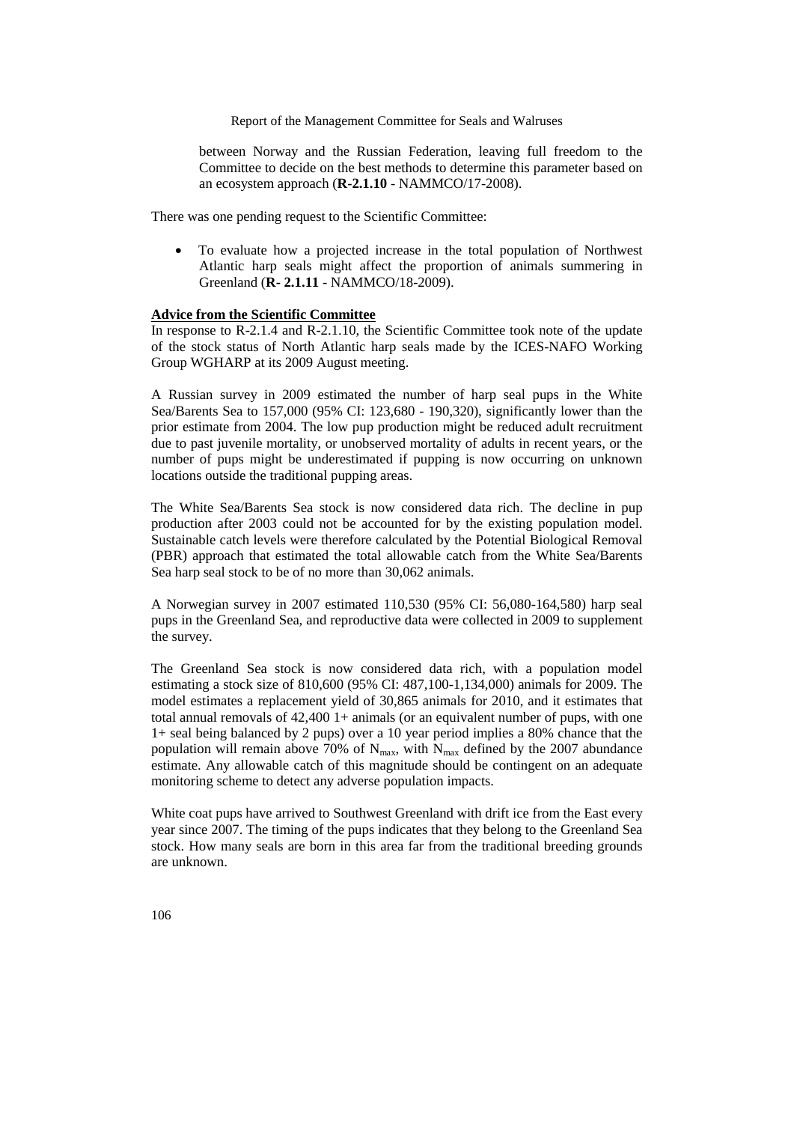between Norway and the Russian Federation, leaving full freedom to the Committee to decide on the best methods to determine this parameter based on an ecosystem approach (**R-2.1.10** - NAMMCO/17-2008).

There was one pending request to the Scientific Committee:

• To evaluate how a projected increase in the total population of Northwest Atlantic harp seals might affect the proportion of animals summering in Greenland (**R- 2.1.11** - NAMMCO/18-2009).

#### **Advice from the Scientific Committee**

In response to R-2.1.4 and R-2.1.10, the Scientific Committee took note of the update of the stock status of North Atlantic harp seals made by the ICES-NAFO Working Group WGHARP at its 2009 August meeting.

A Russian survey in 2009 estimated the number of harp seal pups in the White Sea/Barents Sea to 157,000 (95% CI: 123,680 - 190,320), significantly lower than the prior estimate from 2004. The low pup production might be reduced adult recruitment due to past juvenile mortality, or unobserved mortality of adults in recent years, or the number of pups might be underestimated if pupping is now occurring on unknown locations outside the traditional pupping areas.

The White Sea/Barents Sea stock is now considered data rich. The decline in pup production after 2003 could not be accounted for by the existing population model. Sustainable catch levels were therefore calculated by the Potential Biological Removal (PBR) approach that estimated the total allowable catch from the White Sea/Barents Sea harp seal stock to be of no more than 30,062 animals.

A Norwegian survey in 2007 estimated 110,530 (95% CI: 56,080-164,580) harp seal pups in the Greenland Sea, and reproductive data were collected in 2009 to supplement the survey.

The Greenland Sea stock is now considered data rich, with a population model estimating a stock size of 810,600 (95% CI: 487,100-1,134,000) animals for 2009. The model estimates a replacement yield of 30,865 animals for 2010, and it estimates that total annual removals of 42,400 1+ animals (or an equivalent number of pups, with one 1+ seal being balanced by 2 pups) over a 10 year period implies a 80% chance that the population will remain above 70% of  $N_{\text{max}}$ , with  $N_{\text{max}}$  defined by the 2007 abundance estimate. Any allowable catch of this magnitude should be contingent on an adequate monitoring scheme to detect any adverse population impacts.

White coat pups have arrived to Southwest Greenland with drift ice from the East every year since 2007. The timing of the pups indicates that they belong to the Greenland Sea stock. How many seals are born in this area far from the traditional breeding grounds are unknown.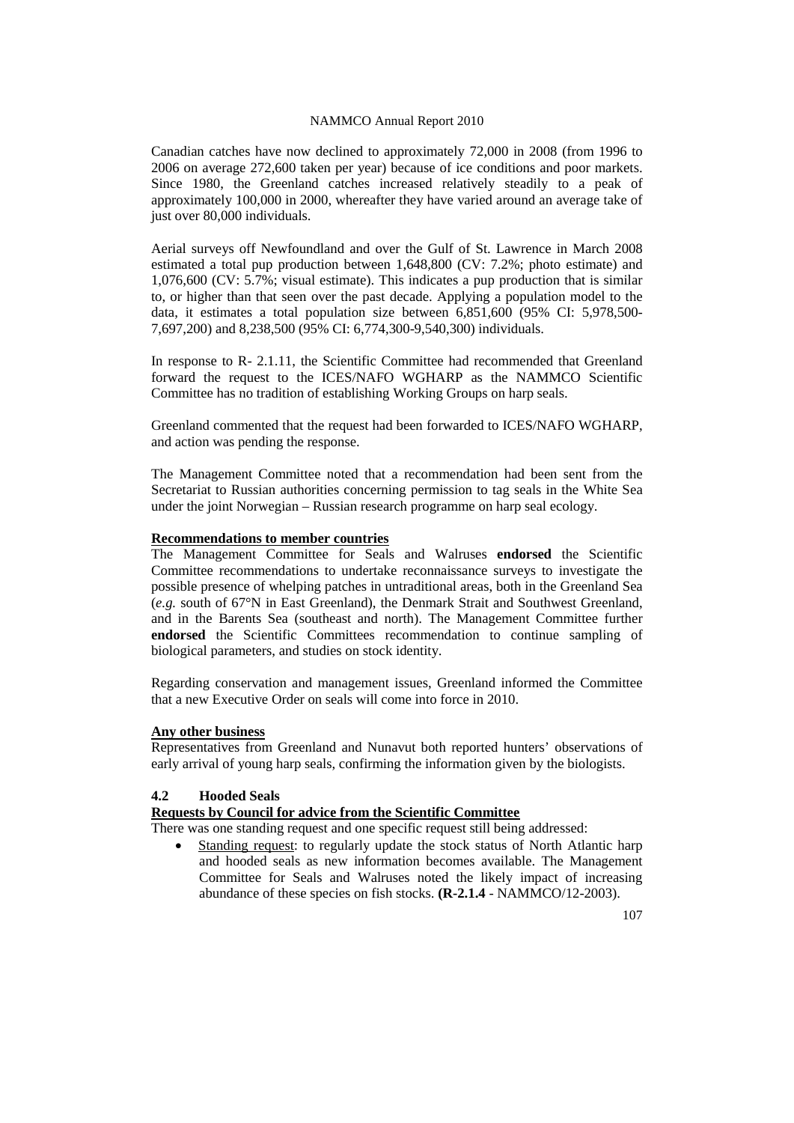Canadian catches have now declined to approximately 72,000 in 2008 (from 1996 to 2006 on average 272,600 taken per year) because of ice conditions and poor markets. Since 1980, the Greenland catches increased relatively steadily to a peak of approximately 100,000 in 2000, whereafter they have varied around an average take of just over 80,000 individuals.

Aerial surveys off Newfoundland and over the Gulf of St. Lawrence in March 2008 estimated a total pup production between 1,648,800 (CV: 7.2%; photo estimate) and 1,076,600 (CV: 5.7%; visual estimate). This indicates a pup production that is similar to, or higher than that seen over the past decade. Applying a population model to the data, it estimates a total population size between 6,851,600 (95% CI: 5,978,500- 7,697,200) and 8,238,500 (95% CI: 6,774,300-9,540,300) individuals.

In response to R- 2.1.11, the Scientific Committee had recommended that Greenland forward the request to the ICES/NAFO WGHARP as the NAMMCO Scientific Committee has no tradition of establishing Working Groups on harp seals.

Greenland commented that the request had been forwarded to ICES/NAFO WGHARP, and action was pending the response.

The Management Committee noted that a recommendation had been sent from the Secretariat to Russian authorities concerning permission to tag seals in the White Sea under the joint Norwegian – Russian research programme on harp seal ecology.

#### **Recommendations to member countries**

The Management Committee for Seals and Walruses **endorsed** the Scientific Committee recommendations to undertake reconnaissance surveys to investigate the possible presence of whelping patches in untraditional areas, both in the Greenland Sea (*e.g.* south of 67°N in East Greenland), the Denmark Strait and Southwest Greenland, and in the Barents Sea (southeast and north). The Management Committee further **endorsed** the Scientific Committees recommendation to continue sampling of biological parameters, and studies on stock identity.

Regarding conservation and management issues, Greenland informed the Committee that a new Executive Order on seals will come into force in 2010.

# **Any other business**

Representatives from Greenland and Nunavut both reported hunters' observations of early arrival of young harp seals, confirming the information given by the biologists.

# **4.2 Hooded Seals**

# **Requests by Council for advice from the Scientific Committee**

There was one standing request and one specific request still being addressed:

Standing request: to regularly update the stock status of North Atlantic harp and hooded seals as new information becomes available. The Management Committee for Seals and Walruses noted the likely impact of increasing abundance of these species on fish stocks. **(R-2.1.4** - NAMMCO/12-2003).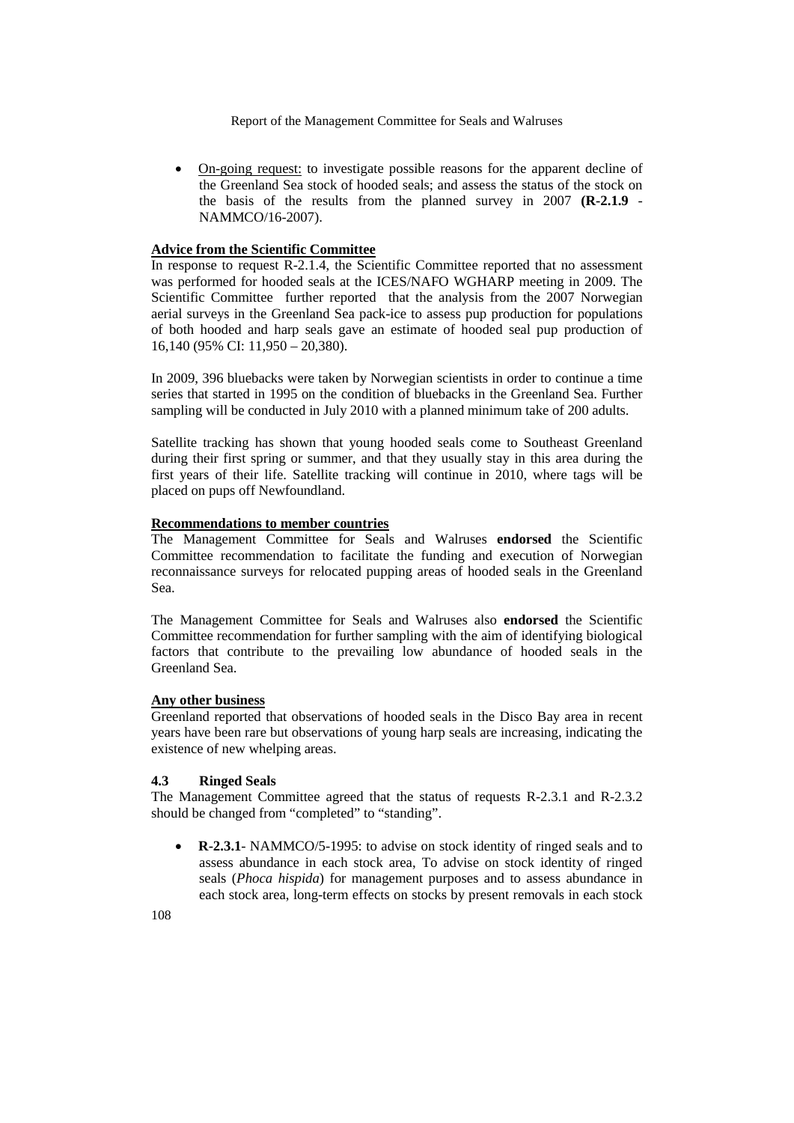• On-going request: to investigate possible reasons for the apparent decline of the Greenland Sea stock of hooded seals; and assess the status of the stock on the basis of the results from the planned survey in 2007 **(R-2.1.9** - NAMMCO/16-2007).

# **Advice from the Scientific Committee**

In response to request R-2.1.4, the Scientific Committee reported that no assessment was performed for hooded seals at the ICES/NAFO WGHARP meeting in 2009. The Scientific Committee further reported that the analysis from the 2007 Norwegian aerial surveys in the Greenland Sea pack-ice to assess pup production for populations of both hooded and harp seals gave an estimate of hooded seal pup production of 16,140 (95% CI: 11,950 – 20,380).

In 2009, 396 bluebacks were taken by Norwegian scientists in order to continue a time series that started in 1995 on the condition of bluebacks in the Greenland Sea. Further sampling will be conducted in July 2010 with a planned minimum take of 200 adults.

Satellite tracking has shown that young hooded seals come to Southeast Greenland during their first spring or summer, and that they usually stay in this area during the first years of their life. Satellite tracking will continue in 2010, where tags will be placed on pups off Newfoundland.

# **Recommendations to member countries**

The Management Committee for Seals and Walruses **endorsed** the Scientific Committee recommendation to facilitate the funding and execution of Norwegian reconnaissance surveys for relocated pupping areas of hooded seals in the Greenland Sea.

The Management Committee for Seals and Walruses also **endorsed** the Scientific Committee recommendation for further sampling with the aim of identifying biological factors that contribute to the prevailing low abundance of hooded seals in the Greenland Sea.

# **Any other business**

Greenland reported that observations of hooded seals in the Disco Bay area in recent years have been rare but observations of young harp seals are increasing, indicating the existence of new whelping areas.

# **4.3 Ringed Seals**

The Management Committee agreed that the status of requests R-2.3.1 and R-2.3.2 should be changed from "completed" to "standing".

• **R-2.3.1**- NAMMCO/5-1995: to advise on stock identity of ringed seals and to assess abundance in each stock area, To advise on stock identity of ringed seals (*Phoca hispida*) for management purposes and to assess abundance in each stock area, long-term effects on stocks by present removals in each stock

108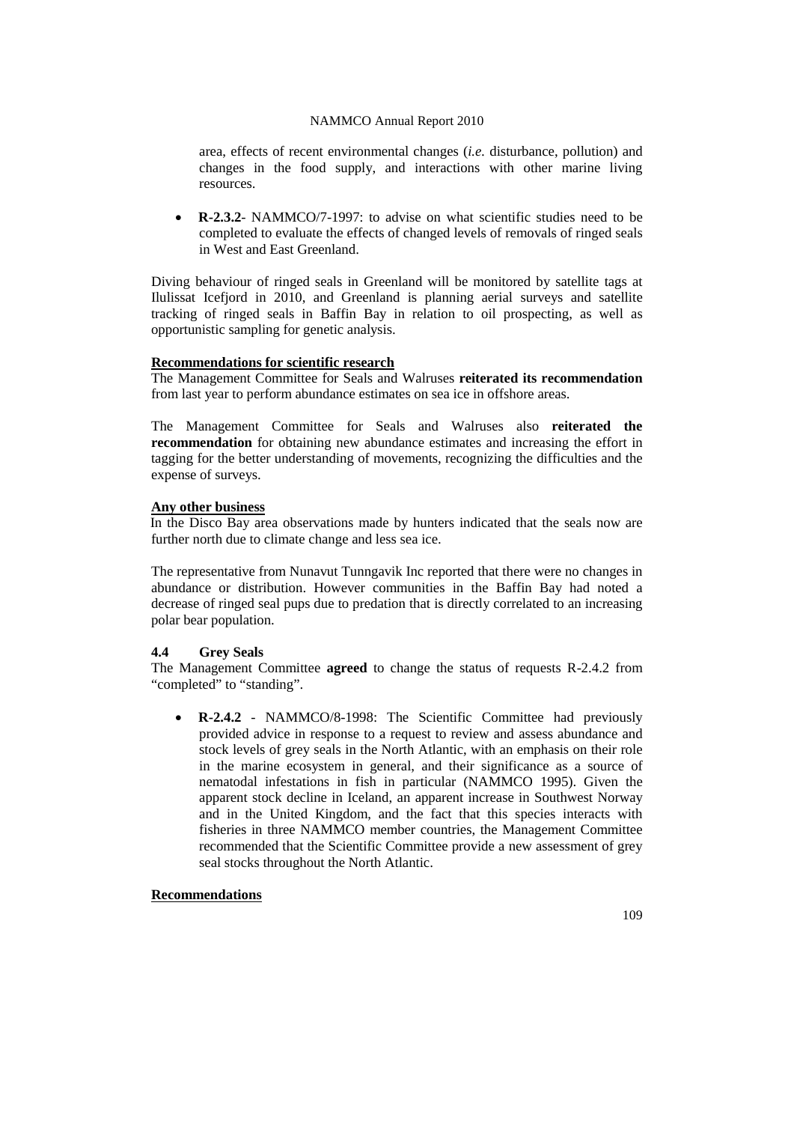area, effects of recent environmental changes (*i.e.* disturbance, pollution) and changes in the food supply, and interactions with other marine living resources.

• **R-2.3.2**- NAMMCO/7-1997: to advise on what scientific studies need to be completed to evaluate the effects of changed levels of removals of ringed seals in West and East Greenland.

Diving behaviour of ringed seals in Greenland will be monitored by satellite tags at Ilulissat Icefjord in 2010, and Greenland is planning aerial surveys and satellite tracking of ringed seals in Baffin Bay in relation to oil prospecting, as well as opportunistic sampling for genetic analysis.

#### **Recommendations for scientific research**

The Management Committee for Seals and Walruses **reiterated its recommendation** from last year to perform abundance estimates on sea ice in offshore areas.

The Management Committee for Seals and Walruses also **reiterated the recommendation** for obtaining new abundance estimates and increasing the effort in tagging for the better understanding of movements, recognizing the difficulties and the expense of surveys.

#### **Any other business**

In the Disco Bay area observations made by hunters indicated that the seals now are further north due to climate change and less sea ice.

The representative from Nunavut Tunngavik Inc reported that there were no changes in abundance or distribution. However communities in the Baffin Bay had noted a decrease of ringed seal pups due to predation that is directly correlated to an increasing polar bear population.

# **4.4 Grey Seals**

The Management Committee **agreed** to change the status of requests R-2.4.2 from "completed" to "standing".

• **R-2.4.2** - NAMMCO/8-1998: The Scientific Committee had previously provided advice in response to a request to review and assess abundance and stock levels of grey seals in the North Atlantic, with an emphasis on their role in the marine ecosystem in general, and their significance as a source of nematodal infestations in fish in particular (NAMMCO 1995). Given the apparent stock decline in Iceland, an apparent increase in Southwest Norway and in the United Kingdom, and the fact that this species interacts with fisheries in three NAMMCO member countries, the Management Committee recommended that the Scientific Committee provide a new assessment of grey seal stocks throughout the North Atlantic.

# **Recommendations**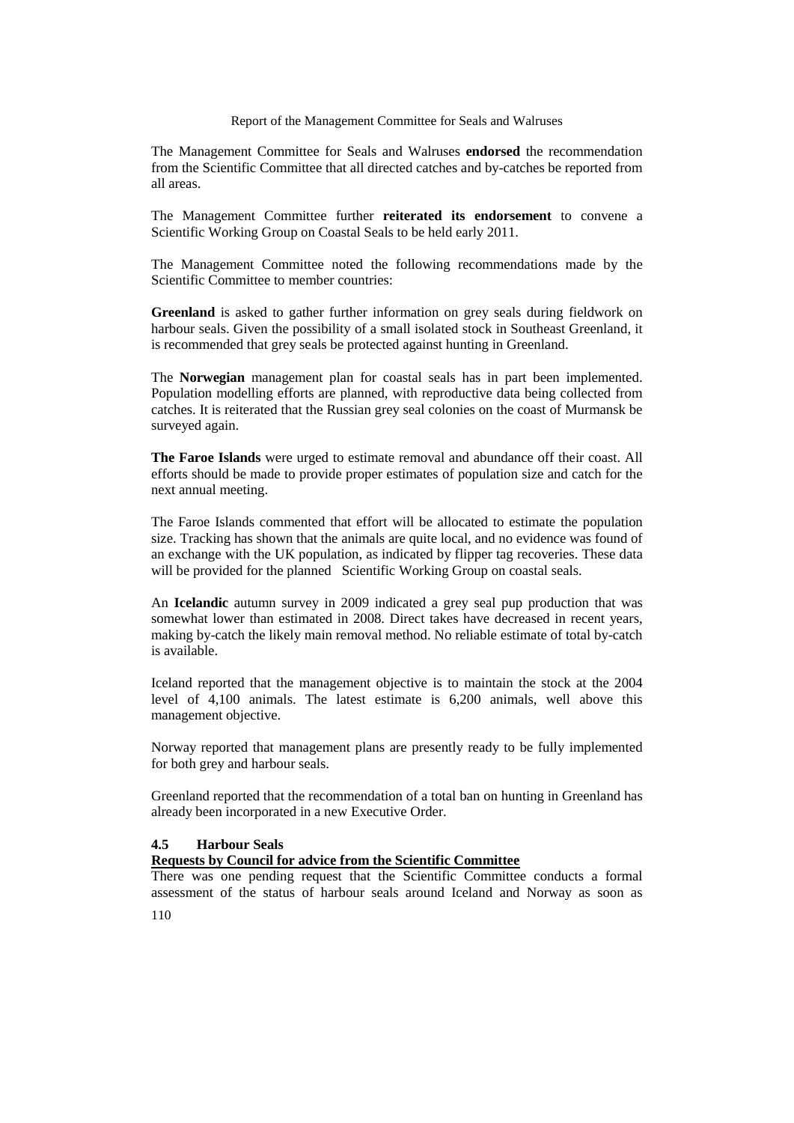The Management Committee for Seals and Walruses **endorsed** the recommendation from the Scientific Committee that all directed catches and by-catches be reported from all areas.

The Management Committee further **reiterated its endorsement** to convene a Scientific Working Group on Coastal Seals to be held early 2011.

The Management Committee noted the following recommendations made by the Scientific Committee to member countries:

**Greenland** is asked to gather further information on grey seals during fieldwork on harbour seals. Given the possibility of a small isolated stock in Southeast Greenland, it is recommended that grey seals be protected against hunting in Greenland.

The **Norwegian** management plan for coastal seals has in part been implemented. Population modelling efforts are planned, with reproductive data being collected from catches. It is reiterated that the Russian grey seal colonies on the coast of Murmansk be surveyed again.

**The Faroe Islands** were urged to estimate removal and abundance off their coast. All efforts should be made to provide proper estimates of population size and catch for the next annual meeting.

The Faroe Islands commented that effort will be allocated to estimate the population size. Tracking has shown that the animals are quite local, and no evidence was found of an exchange with the UK population, as indicated by flipper tag recoveries. These data will be provided for the planned Scientific Working Group on coastal seals.

An **Icelandic** autumn survey in 2009 indicated a grey seal pup production that was somewhat lower than estimated in 2008. Direct takes have decreased in recent years, making by-catch the likely main removal method. No reliable estimate of total by-catch is available.

Iceland reported that the management objective is to maintain the stock at the 2004 level of 4,100 animals. The latest estimate is 6,200 animals, well above this management objective.

Norway reported that management plans are presently ready to be fully implemented for both grey and harbour seals.

Greenland reported that the recommendation of a total ban on hunting in Greenland has already been incorporated in a new Executive Order.

# **4.5 Harbour Seals**

# **Requests by Council for advice from the Scientific Committee**

There was one pending request that the Scientific Committee conducts a formal assessment of the status of harbour seals around Iceland and Norway as soon as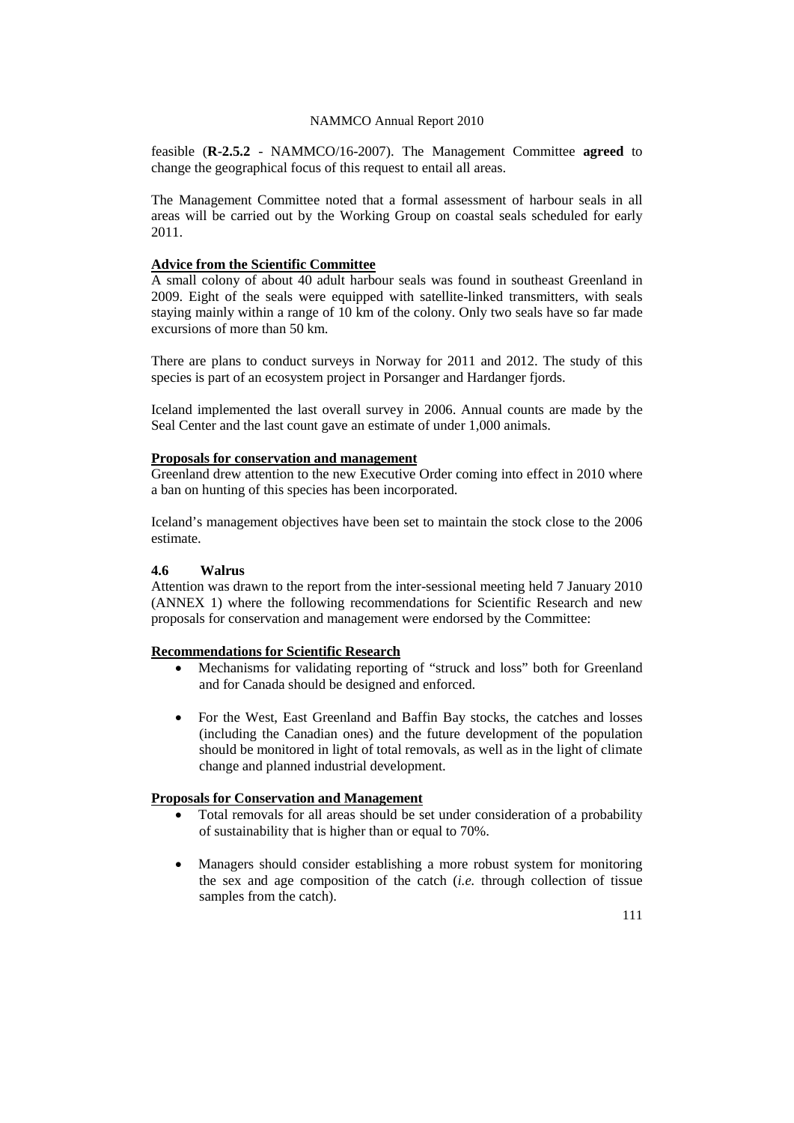feasible (**R-2.5.2** - NAMMCO/16-2007). The Management Committee **agreed** to change the geographical focus of this request to entail all areas.

The Management Committee noted that a formal assessment of harbour seals in all areas will be carried out by the Working Group on coastal seals scheduled for early 2011.

# **Advice from the Scientific Committee**

A small colony of about 40 adult harbour seals was found in southeast Greenland in 2009. Eight of the seals were equipped with satellite-linked transmitters, with seals staying mainly within a range of 10 km of the colony. Only two seals have so far made excursions of more than 50 km.

There are plans to conduct surveys in Norway for 2011 and 2012. The study of this species is part of an ecosystem project in Porsanger and Hardanger fjords.

Iceland implemented the last overall survey in 2006. Annual counts are made by the Seal Center and the last count gave an estimate of under 1,000 animals.

# **Proposals for conservation and management**

Greenland drew attention to the new Executive Order coming into effect in 2010 where a ban on hunting of this species has been incorporated.

Iceland's management objectives have been set to maintain the stock close to the 2006 estimate.

# **4.6 Walrus**

Attention was drawn to the report from the inter-sessional meeting held 7 January 2010 (ANNEX 1) where the following recommendations for Scientific Research and new proposals for conservation and management were endorsed by the Committee:

# **Recommendations for Scientific Research**

- Mechanisms for validating reporting of "struck and loss" both for Greenland and for Canada should be designed and enforced.
- For the West, East Greenland and Baffin Bay stocks, the catches and losses (including the Canadian ones) and the future development of the population should be monitored in light of total removals, as well as in the light of climate change and planned industrial development.

# **Proposals for Conservation and Management**

- Total removals for all areas should be set under consideration of a probability of sustainability that is higher than or equal to 70%.
- Managers should consider establishing a more robust system for monitoring the sex and age composition of the catch (*i.e.* through collection of tissue samples from the catch).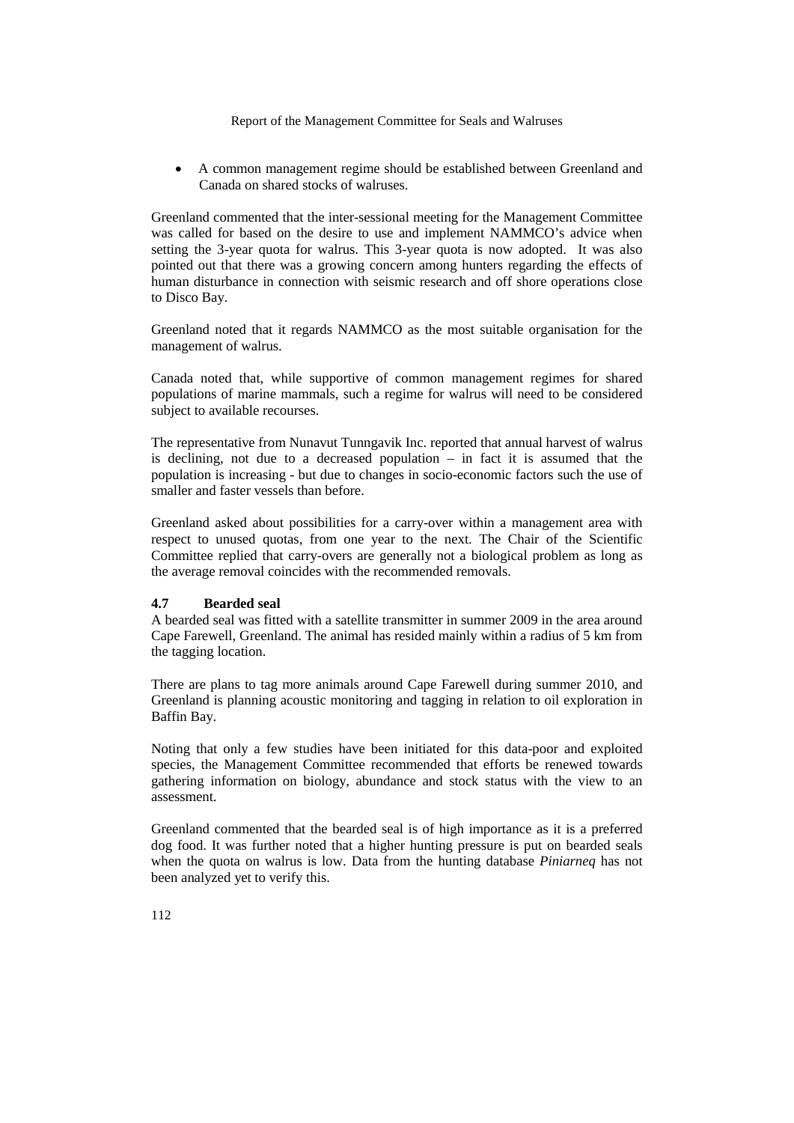• A common management regime should be established between Greenland and Canada on shared stocks of walruses.

Greenland commented that the inter-sessional meeting for the Management Committee was called for based on the desire to use and implement NAMMCO's advice when setting the 3-year quota for walrus. This 3-year quota is now adopted. It was also pointed out that there was a growing concern among hunters regarding the effects of human disturbance in connection with seismic research and off shore operations close to Disco Bay.

Greenland noted that it regards NAMMCO as the most suitable organisation for the management of walrus.

Canada noted that, while supportive of common management regimes for shared populations of marine mammals, such a regime for walrus will need to be considered subject to available recourses.

The representative from Nunavut Tunngavik Inc. reported that annual harvest of walrus is declining, not due to a decreased population – in fact it is assumed that the population is increasing - but due to changes in socio-economic factors such the use of smaller and faster vessels than before.

Greenland asked about possibilities for a carry-over within a management area with respect to unused quotas, from one year to the next. The Chair of the Scientific Committee replied that carry-overs are generally not a biological problem as long as the average removal coincides with the recommended removals.

# **4.7 Bearded seal**

A bearded seal was fitted with a satellite transmitter in summer 2009 in the area around Cape Farewell, Greenland. The animal has resided mainly within a radius of 5 km from the tagging location.

There are plans to tag more animals around Cape Farewell during summer 2010, and Greenland is planning acoustic monitoring and tagging in relation to oil exploration in Baffin Bay.

Noting that only a few studies have been initiated for this data-poor and exploited species, the Management Committee recommended that efforts be renewed towards gathering information on biology, abundance and stock status with the view to an assessment.

Greenland commented that the bearded seal is of high importance as it is a preferred dog food. It was further noted that a higher hunting pressure is put on bearded seals when the quota on walrus is low. Data from the hunting database *Piniarneq* has not been analyzed yet to verify this.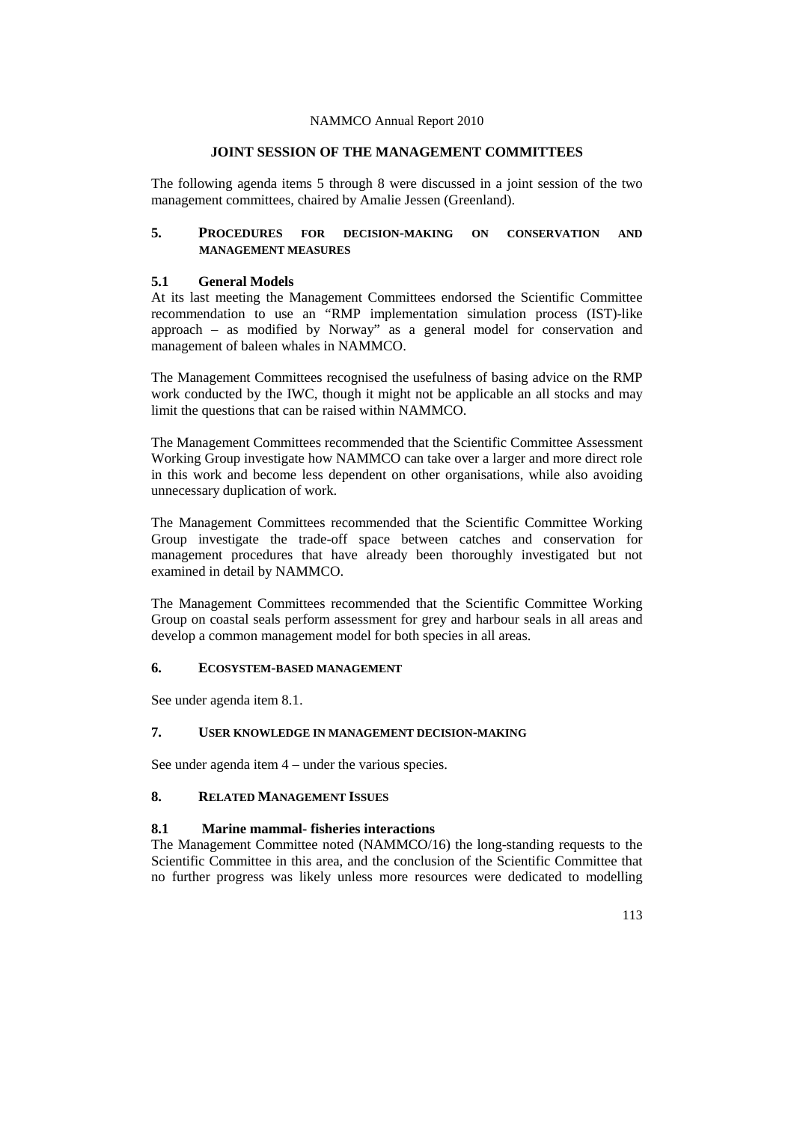# **JOINT SESSION OF THE MANAGEMENT COMMITTEES**

The following agenda items 5 through 8 were discussed in a joint session of the two management committees, chaired by Amalie Jessen (Greenland).

# **5. PROCEDURES FOR DECISION-MAKING ON CONSERVATION AND MANAGEMENT MEASURES**

## **5.1 General Models**

At its last meeting the Management Committees endorsed the Scientific Committee recommendation to use an "RMP implementation simulation process (IST)-like approach – as modified by Norway" as a general model for conservation and management of baleen whales in NAMMCO.

The Management Committees recognised the usefulness of basing advice on the RMP work conducted by the IWC, though it might not be applicable an all stocks and may limit the questions that can be raised within NAMMCO.

The Management Committees recommended that the Scientific Committee Assessment Working Group investigate how NAMMCO can take over a larger and more direct role in this work and become less dependent on other organisations, while also avoiding unnecessary duplication of work.

The Management Committees recommended that the Scientific Committee Working Group investigate the trade-off space between catches and conservation for management procedures that have already been thoroughly investigated but not examined in detail by NAMMCO.

The Management Committees recommended that the Scientific Committee Working Group on coastal seals perform assessment for grey and harbour seals in all areas and develop a common management model for both species in all areas.

# **6. ECOSYSTEM-BASED MANAGEMENT**

See under agenda item 8.1.

# **7. USER KNOWLEDGE IN MANAGEMENT DECISION-MAKING**

See under agenda item 4 – under the various species.

# **8. RELATED MANAGEMENT ISSUES**

# **8.1 Marine mammal- fisheries interactions**

The Management Committee noted (NAMMCO/16) the long-standing requests to the Scientific Committee in this area, and the conclusion of the Scientific Committee that no further progress was likely unless more resources were dedicated to modelling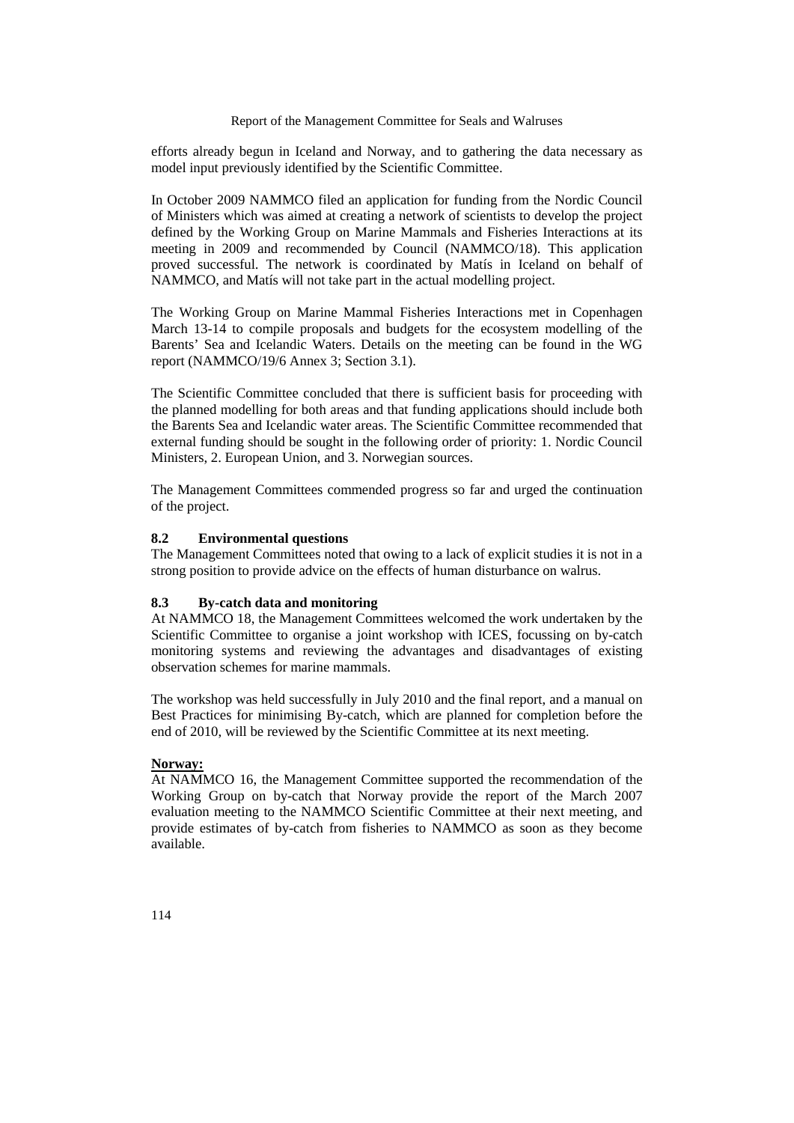efforts already begun in Iceland and Norway, and to gathering the data necessary as model input previously identified by the Scientific Committee.

In October 2009 NAMMCO filed an application for funding from the Nordic Council of Ministers which was aimed at creating a network of scientists to develop the project defined by the Working Group on Marine Mammals and Fisheries Interactions at its meeting in 2009 and recommended by Council (NAMMCO/18). This application proved successful. The network is coordinated by Matís in Iceland on behalf of NAMMCO, and Matís will not take part in the actual modelling project.

The Working Group on Marine Mammal Fisheries Interactions met in Copenhagen March 13-14 to compile proposals and budgets for the ecosystem modelling of the Barents' Sea and Icelandic Waters. Details on the meeting can be found in the WG report (NAMMCO/19/6 Annex 3; Section 3.1).

The Scientific Committee concluded that there is sufficient basis for proceeding with the planned modelling for both areas and that funding applications should include both the Barents Sea and Icelandic water areas. The Scientific Committee recommended that external funding should be sought in the following order of priority: 1. Nordic Council Ministers, 2. European Union, and 3. Norwegian sources.

The Management Committees commended progress so far and urged the continuation of the project.

#### **8.2 Environmental questions**

The Management Committees noted that owing to a lack of explicit studies it is not in a strong position to provide advice on the effects of human disturbance on walrus.

#### **8.3 By-catch data and monitoring**

At NAMMCO 18, the Management Committees welcomed the work undertaken by the Scientific Committee to organise a joint workshop with ICES, focussing on by-catch monitoring systems and reviewing the advantages and disadvantages of existing observation schemes for marine mammals.

The workshop was held successfully in July 2010 and the final report, and a manual on Best Practices for minimising By-catch, which are planned for completion before the end of 2010, will be reviewed by the Scientific Committee at its next meeting.

# **Norway:**

At NAMMCO 16, the Management Committee supported the recommendation of the Working Group on by-catch that Norway provide the report of the March 2007 evaluation meeting to the NAMMCO Scientific Committee at their next meeting, and provide estimates of by-catch from fisheries to NAMMCO as soon as they become available.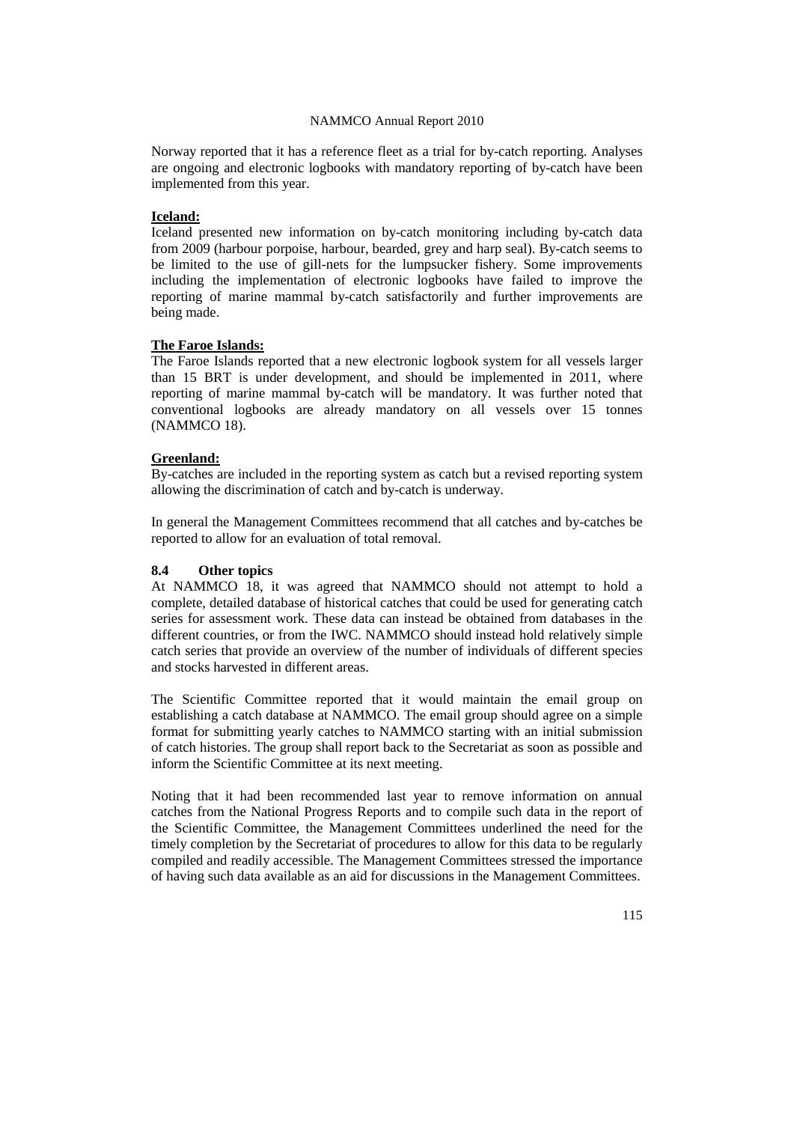Norway reported that it has a reference fleet as a trial for by-catch reporting. Analyses are ongoing and electronic logbooks with mandatory reporting of by-catch have been implemented from this year.

## **Iceland:**

Iceland presented new information on by-catch monitoring including by-catch data from 2009 (harbour porpoise, harbour, bearded, grey and harp seal). By-catch seems to be limited to the use of gill-nets for the lumpsucker fishery. Some improvements including the implementation of electronic logbooks have failed to improve the reporting of marine mammal by-catch satisfactorily and further improvements are being made.

# **The Faroe Islands:**

The Faroe Islands reported that a new electronic logbook system for all vessels larger than 15 BRT is under development, and should be implemented in 2011, where reporting of marine mammal by-catch will be mandatory. It was further noted that conventional logbooks are already mandatory on all vessels over 15 tonnes (NAMMCO 18).

#### **Greenland:**

By-catches are included in the reporting system as catch but a revised reporting system allowing the discrimination of catch and by-catch is underway.

In general the Management Committees recommend that all catches and by-catches be reported to allow for an evaluation of total removal.

# **8.4 Other topics**

At NAMMCO 18, it was agreed that NAMMCO should not attempt to hold a complete, detailed database of historical catches that could be used for generating catch series for assessment work. These data can instead be obtained from databases in the different countries, or from the IWC. NAMMCO should instead hold relatively simple catch series that provide an overview of the number of individuals of different species and stocks harvested in different areas.

The Scientific Committee reported that it would maintain the email group on establishing a catch database at NAMMCO. The email group should agree on a simple format for submitting yearly catches to NAMMCO starting with an initial submission of catch histories. The group shall report back to the Secretariat as soon as possible and inform the Scientific Committee at its next meeting.

Noting that it had been recommended last year to remove information on annual catches from the National Progress Reports and to compile such data in the report of the Scientific Committee, the Management Committees underlined the need for the timely completion by the Secretariat of procedures to allow for this data to be regularly compiled and readily accessible. The Management Committees stressed the importance of having such data available as an aid for discussions in the Management Committees.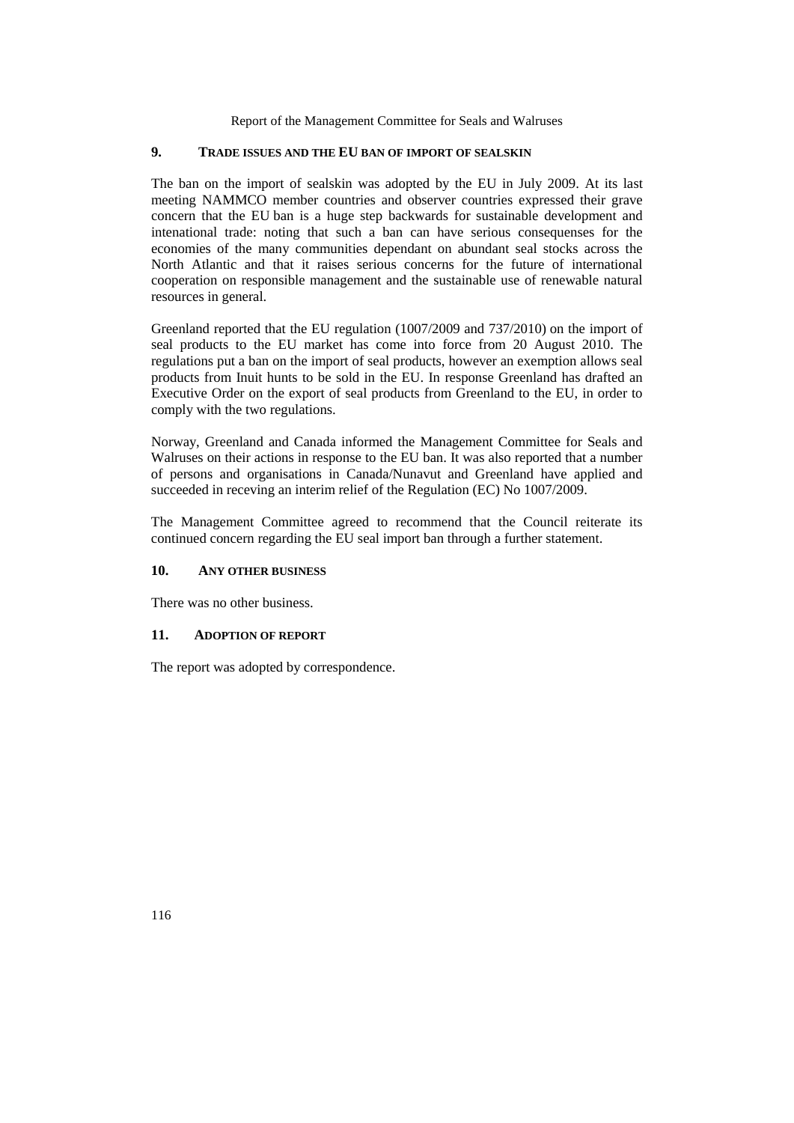# **9. TRADE ISSUES AND THE EU BAN OF IMPORT OF SEALSKIN**

The ban on the import of sealskin was adopted by the EU in July 2009. At its last meeting NAMMCO member countries and observer countries expressed their grave concern that the EU ban is a huge step backwards for sustainable development and intenational trade: noting that such a ban can have serious consequenses for the economies of the many communities dependant on abundant seal stocks across the North Atlantic and that it raises serious concerns for the future of international cooperation on responsible management and the sustainable use of renewable natural resources in general.

Greenland reported that the EU regulation (1007/2009 and 737/2010) on the import of seal products to the EU market has come into force from 20 August 2010. The regulations put a ban on the import of seal products, however an exemption allows seal products from Inuit hunts to be sold in the EU. In response Greenland has drafted an Executive Order on the export of seal products from Greenland to the EU, in order to comply with the two regulations.

Norway, Greenland and Canada informed the Management Committee for Seals and Walruses on their actions in response to the EU ban. It was also reported that a number of persons and organisations in Canada/Nunavut and Greenland have applied and succeeded in receving an interim relief of the Regulation (EC) No 1007/2009.

The Management Committee agreed to recommend that the Council reiterate its continued concern regarding the EU seal import ban through a further statement.

# **10. ANY OTHER BUSINESS**

There was no other business.

# **11. ADOPTION OF REPORT**

The report was adopted by correspondence.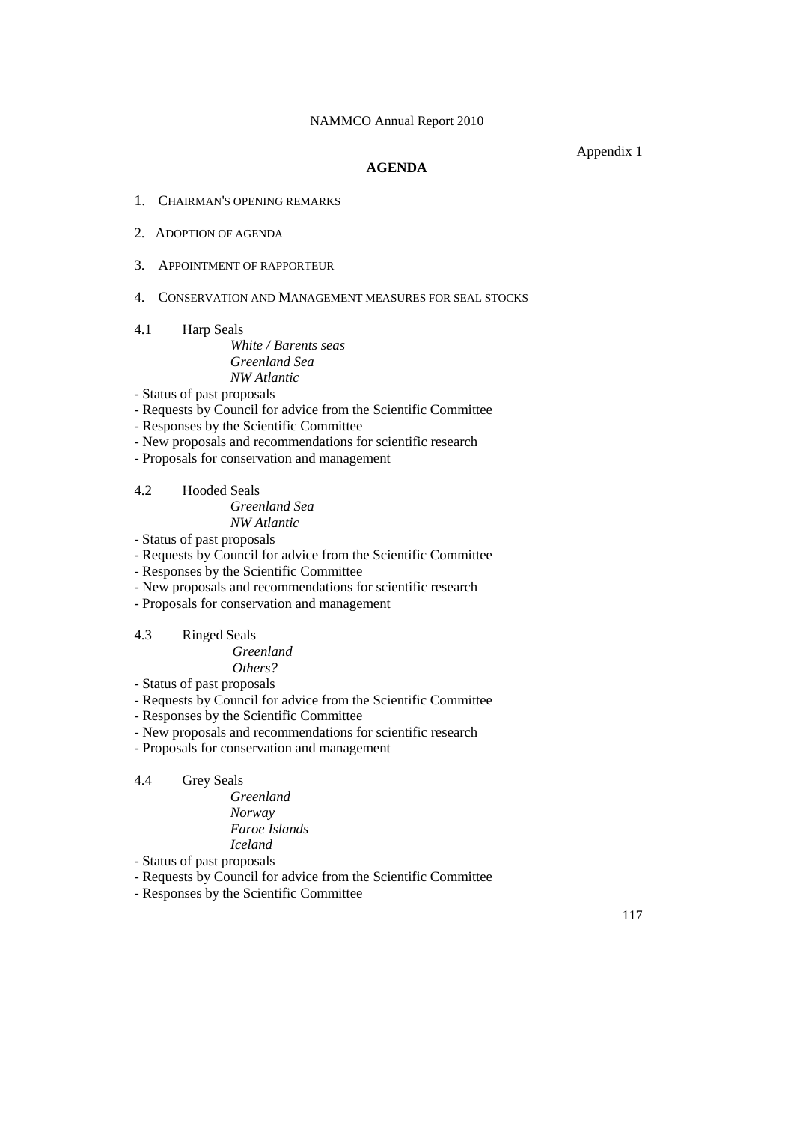Appendix 1

# **AGENDA**

- 1. CHAIRMAN'S OPENING REMARKS
- 2. ADOPTION OF AGENDA
- 3. APPOINTMENT OF RAPPORTEUR
- 4. CONSERVATION AND MANAGEMENT MEASURES FOR SEAL STOCKS
- 4.1 Harp Seals

*White / Barents seas Greenland Sea NW Atlantic*

- Status of past proposals
- Requests by Council for advice from the Scientific Committee
- Responses by the Scientific Committee
- New proposals and recommendations for scientific research
- Proposals for conservation and management
- 4.2 Hooded Seals *Greenland Sea NW Atlantic*
- Status of past proposals
- Requests by Council for advice from the Scientific Committee
- Responses by the Scientific Committee
- New proposals and recommendations for scientific research
- Proposals for conservation and management
- 4.3 Ringed Seals

 *Greenland Others?*

- Status of past proposals
- Requests by Council for advice from the Scientific Committee
- Responses by the Scientific Committee
- New proposals and recommendations for scientific research
- Proposals for conservation and management

# 4.4 Grey Seals

*Greenland Norway Faroe Islands Iceland*

- Status of past proposals
- Requests by Council for advice from the Scientific Committee
- Responses by the Scientific Committee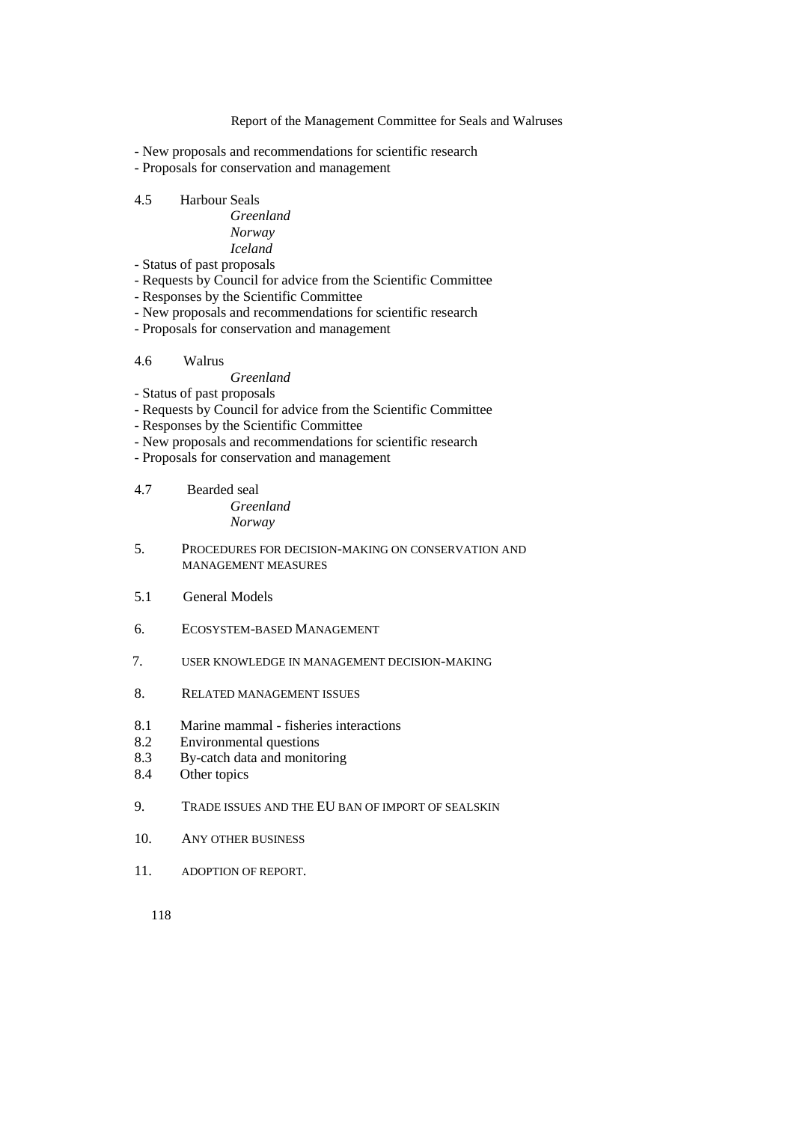- New proposals and recommendations for scientific research
- Proposals for conservation and management

# 4.5 Harbour Seals

- *Greenland Norway Iceland*
- Status of past proposals
- Requests by Council for advice from the Scientific Committee
- Responses by the Scientific Committee
- New proposals and recommendations for scientific research
- Proposals for conservation and management

# 4.6 Walrus

# *Greenland*

- Status of past proposals
- Requests by Council for advice from the Scientific Committee
- Responses by the Scientific Committee
- New proposals and recommendations for scientific research
- Proposals for conservation and management
- 4.7 Bearded seal *Greenland Norway*
- 5. PROCEDURES FOR DECISION-MAKING ON CONSERVATION AND MANAGEMENT MEASURES
- 5.1 General Models
- 6. ECOSYSTEM-BASED MANAGEMENT
- 7. USER KNOWLEDGE IN MANAGEMENT DECISION-MAKING
- 8. RELATED MANAGEMENT ISSUES
- 8.1 Marine mammal fisheries interactions
- 8.2 Environmental questions
- 8.3 By-catch data and monitoring
- 8.4 Other topics
- 9. TRADE ISSUES AND THE EU BAN OF IMPORT OF SEALSKIN
- 10. ANY OTHER BUSINESS
- 11. ADOPTION OF REPORT.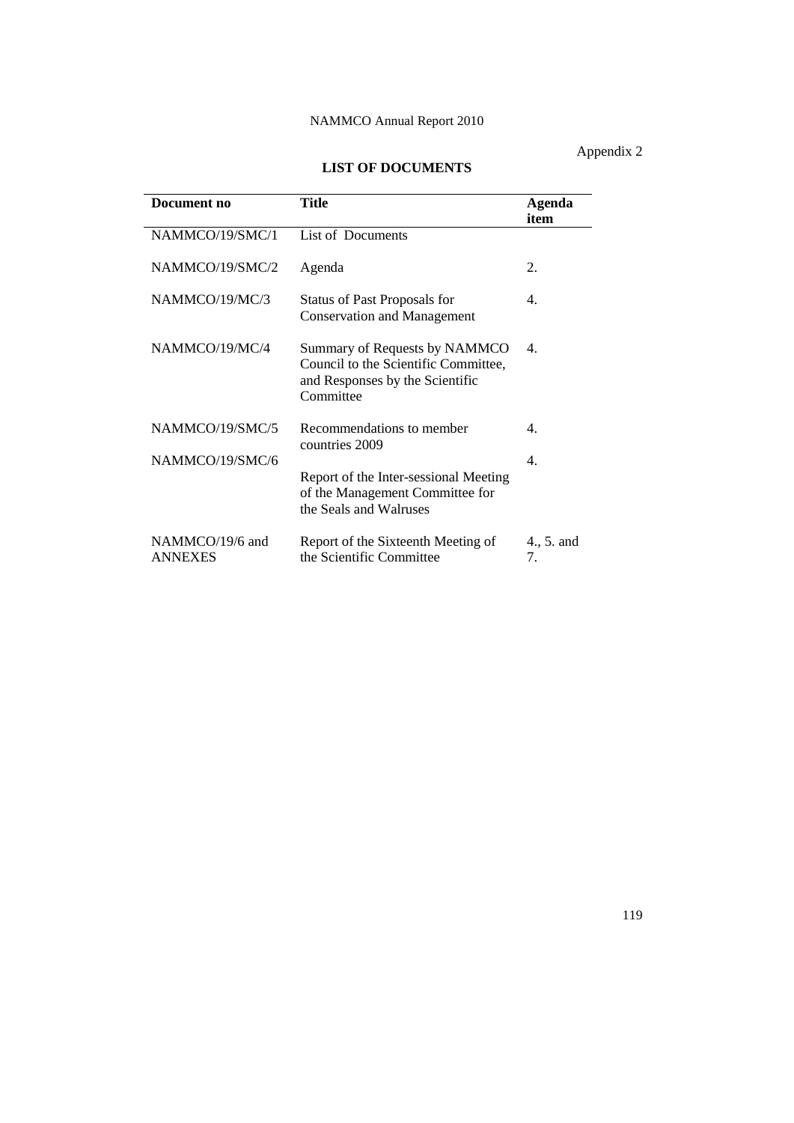# Appendix 2

# **LIST OF DOCUMENTS**

| Document no                       | <b>Title</b>                                                                                                          | Agenda<br>item   |
|-----------------------------------|-----------------------------------------------------------------------------------------------------------------------|------------------|
| NAMMCO/19/SMC/1                   | List of Documents                                                                                                     |                  |
| NAMMCO/19/SMC/2                   | Agenda                                                                                                                | 2.               |
| NAMMCO/19/MC/3                    | <b>Status of Past Proposals for</b><br><b>Conservation and Management</b>                                             | $\mathbf{4}$ .   |
| NAMMCO/19/MC/4                    | Summary of Requests by NAMMCO<br>Council to the Scientific Committee,<br>and Responses by the Scientific<br>Committee | 4.               |
| NAMMCO/19/SMC/5                   | Recommendations to member<br>countries 2009                                                                           | 4                |
| NAMMCO/19/SMC/6                   | Report of the Inter-sessional Meeting<br>of the Management Committee for<br>the Seals and Walruses                    | $\mathbf{4}$ .   |
| NAMMCO/19/6 and<br><b>ANNEXES</b> | Report of the Sixteenth Meeting of<br>the Scientific Committee                                                        | 4., 5. and<br>7. |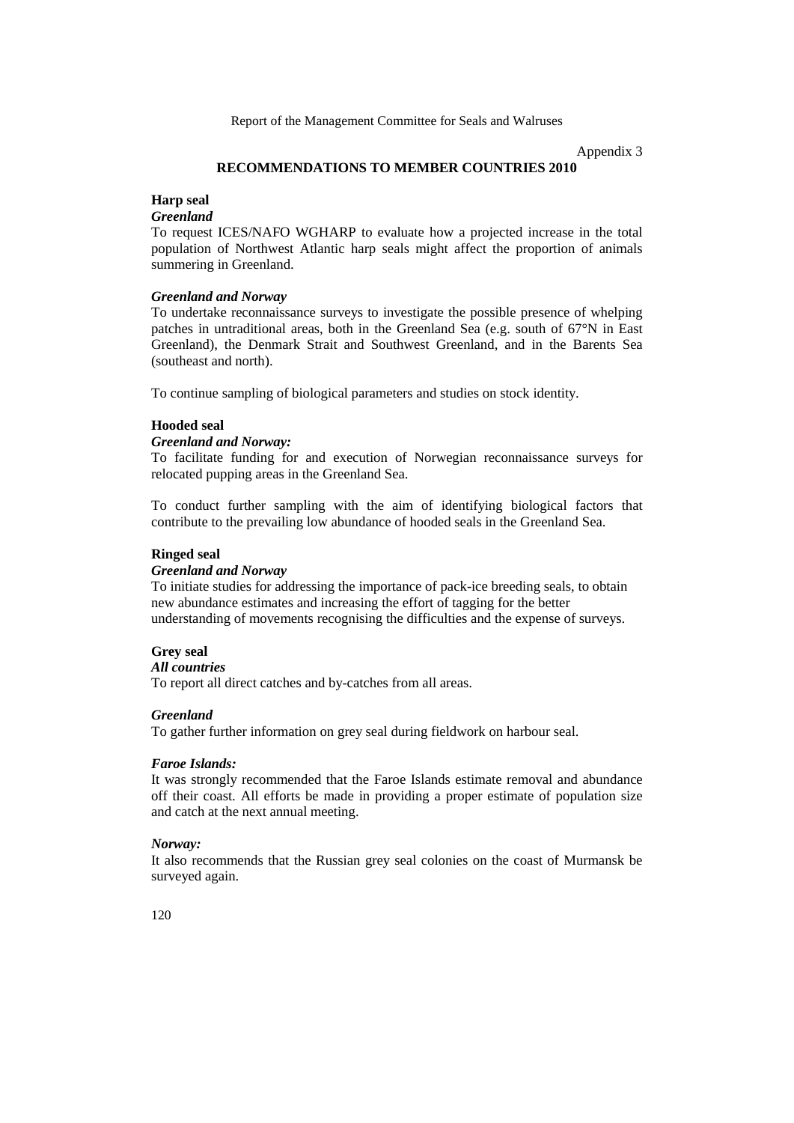Appendix 3

### **RECOMMENDATIONS TO MEMBER COUNTRIES 2010**

## **Harp seal**

# *Greenland*

To request ICES/NAFO WGHARP to evaluate how a projected increase in the total population of Northwest Atlantic harp seals might affect the proportion of animals summering in Greenland.

## *Greenland and Norway*

To undertake reconnaissance surveys to investigate the possible presence of whelping patches in untraditional areas, both in the Greenland Sea (e.g. south of 67°N in East Greenland), the Denmark Strait and Southwest Greenland, and in the Barents Sea (southeast and north).

To continue sampling of biological parameters and studies on stock identity.

# **Hooded seal**

#### *Greenland and Norway:*

To facilitate funding for and execution of Norwegian reconnaissance surveys for relocated pupping areas in the Greenland Sea.

To conduct further sampling with the aim of identifying biological factors that contribute to the prevailing low abundance of hooded seals in the Greenland Sea.

#### **Ringed seal**

#### *Greenland and Norway*

To initiate studies for addressing the importance of pack-ice breeding seals, to obtain new abundance estimates and increasing the effort of tagging for the better understanding of movements recognising the difficulties and the expense of surveys.

## **Grey seal**

## *All countries*

To report all direct catches and by-catches from all areas.

#### *Greenland*

To gather further information on grey seal during fieldwork on harbour seal.

#### *Faroe Islands:*

It was strongly recommended that the Faroe Islands estimate removal and abundance off their coast. All efforts be made in providing a proper estimate of population size and catch at the next annual meeting.

## *Norway:*

It also recommends that the Russian grey seal colonies on the coast of Murmansk be surveyed again.